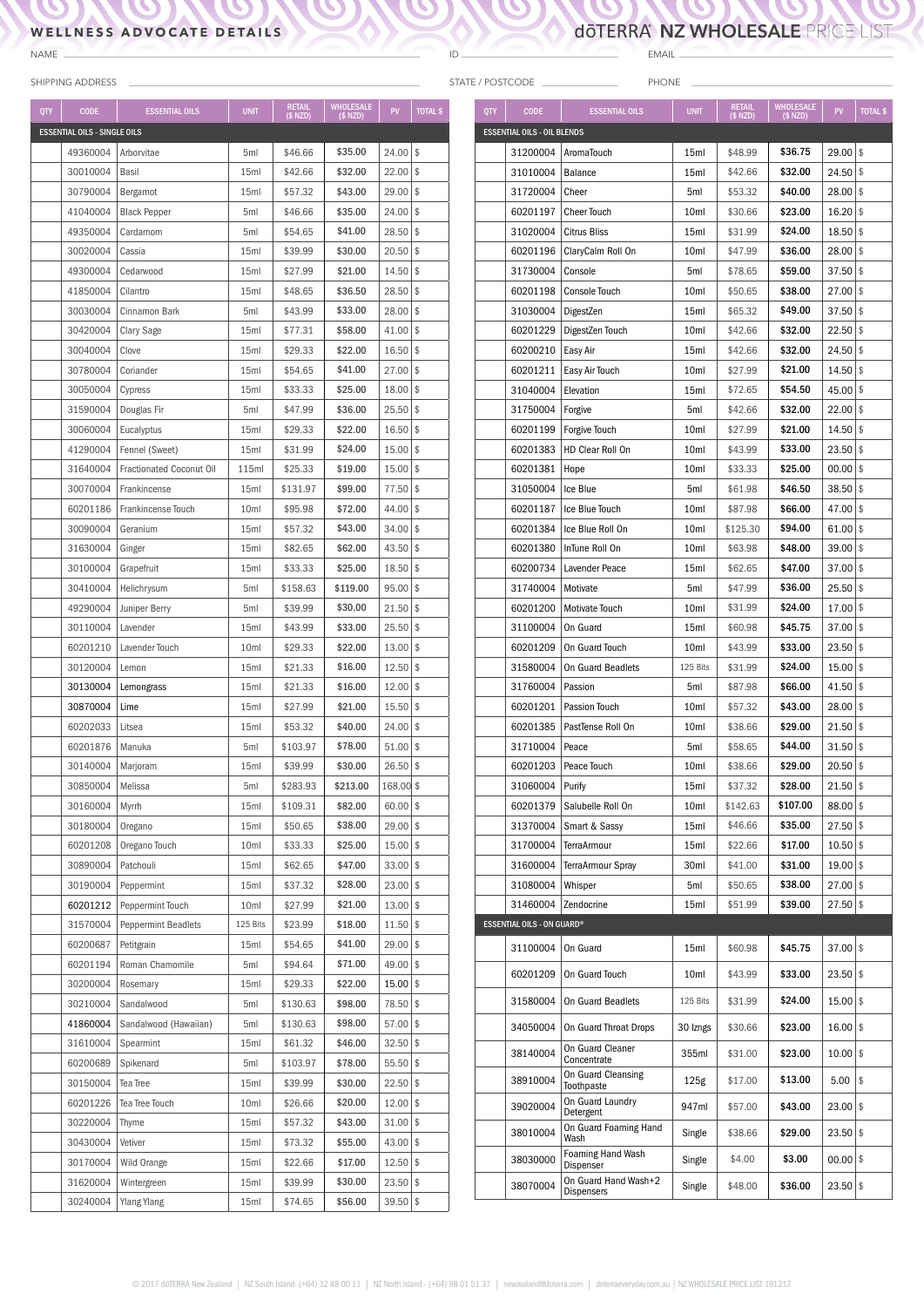## **WELLNESS ADVOCATE DETAILS**

 $\boldsymbol{\mathcal{O}}$ 

NAME

STATE / POSTCODE

ID

EMAIL PHONE \_

**DOTERRA NZ WHOLESALE PRICE LIST** 

N  $\mathbf{N}$ 

 $\mathbf{C}$ 

 $\blacktriangleright$ 

 $\boldsymbol{D}$ 

|            | <b>SHIPPING ADDRESS</b>             |                            |                  |                               |                                  |             |                 | STATE / POSTCODE |                                |
|------------|-------------------------------------|----------------------------|------------------|-------------------------------|----------------------------------|-------------|-----------------|------------------|--------------------------------|
| <b>QTY</b> | <b>CODE</b>                         | <b>ESSENTIAL OILS</b>      | <b>UNIT</b>      | <b>RETAIL</b><br>$($$ NZD $)$ | <b>WHOLESALE</b><br>$($$ NZD $)$ | PV          | <b>TOTAL \$</b> | <b>QTY</b>       | <b>CODE</b>                    |
|            | <b>ESSENTIAL OILS - SINGLE OILS</b> |                            |                  |                               |                                  |             |                 |                  | <b>ESSENTIAL OILS - OIL BI</b> |
|            | 49360004                            | Arborvitae                 | 5ml              | \$46.66                       | \$35.00                          | 24.00       | l \$            |                  | 31200004                       |
|            | 30010004                            | Basil                      | 15ml             | \$42.66                       | \$32.00                          | $22.00$ \$  |                 |                  | 31010004                       |
|            | 30790004                            | Bergamot                   | 15 <sub>ml</sub> | \$57.32                       | \$43.00                          | 29.00       | \$              |                  | 31720004                       |
|            | 41040004                            | <b>Black Pepper</b>        | 5ml              | \$46.66                       | \$35.00                          | 24.00       | \$              |                  | 60201197                       |
|            | 49350004                            | Cardamom                   | 5ml              | \$54.65                       | \$41.00                          | 28.50       | \$              |                  | 31020004                       |
|            | 30020004                            | Cassia                     | 15ml             | \$39.99                       | \$30.00                          | $20.50$ \$  |                 |                  | 60201196                       |
|            | 49300004                            | Cedarwood                  | 15ml             | \$27.99                       | \$21.00                          | 14.50       | \$              |                  | 31730004                       |
|            | 41850004                            | Cilantro                   | 15ml             | \$48.65                       | \$36.50                          | 28.50       | \$              |                  | 60201198                       |
|            | 30030004                            | Cinnamon Bark              | 5ml              | \$43.99                       | \$33.00                          | $28.00$ \$  |                 |                  | 31030004                       |
|            | 30420004                            |                            |                  |                               | \$58.00                          | 41.00       | \$              |                  | 60201229                       |
|            |                                     | Clary Sage                 | 15ml             | \$77.31                       | \$22.00                          |             |                 |                  |                                |
|            | 30040004                            | Clove                      | 15ml             | \$29.33                       |                                  | $16.50$ \$  |                 |                  | 60200210                       |
|            | 30780004                            | Coriander                  | 15ml             | \$54.65                       | \$41.00                          | 27.00       | \$              |                  | 60201211                       |
|            | 30050004                            | Cypress                    | 15ml             | \$33.33                       | \$25.00                          | 18.00       | \$              |                  | 31040004                       |
|            | 31590004                            | Douglas Fir                | 5ml              | \$47.99                       | \$36.00                          | $25.50$ \$  |                 |                  | 31750004                       |
|            | 30060004                            | Eucalyptus                 | 15ml             | \$29.33                       | \$22.00                          | $16.50$ \$  |                 |                  | 60201199                       |
|            | 41290004                            | Fennel (Sweet)             | 15ml             | \$31.99                       | \$24.00                          | $15.00$ \$  |                 |                  | 60201383                       |
|            | 31640004                            | Fractionated Coconut Oil   | 115ml            | \$25.33                       | \$19.00                          | 15.00       | \$              |                  | 60201381                       |
|            | 30070004                            | Frankincense               | 15ml             | \$131.97                      | \$99.00                          | 77.50       | \$              |                  | 31050004                       |
|            | 60201186                            | Frankincense Touch         | 10ml             | \$95.98                       | \$72.00                          | $44.00$ \\$ |                 |                  | 60201187                       |
|            | 30090004                            | Geranium                   | 15ml             | \$57.32                       | \$43.00                          | $34.00$ \$  |                 |                  | 60201384                       |
|            | 31630004                            | Ginger                     | 15ml             | \$82.65                       | \$62.00                          | $43.50$ \\$ |                 |                  | 60201380                       |
|            | 30100004                            | Grapefruit                 | 15ml             | \$33.33                       | \$25.00                          | 18.50       | \$              |                  | 60200734                       |
|            | 30410004                            | Helichrysum                | 5ml              | \$158.63                      | \$119.00                         | 95.00       | \$              |                  | 31740004                       |
|            | 49290004                            | Juniper Berry              | 5ml              | \$39.99                       | \$30.00                          | $21.50$ \$  |                 |                  | 60201200                       |
|            | 30110004                            | Lavender                   | 15ml             | \$43.99                       | \$33.00                          | 25.50       | \$              |                  | 31100004                       |
|            | 60201210                            | Lavender Touch             | 10ml             | \$29.33                       | \$22.00                          | 13.00       | \$              |                  | 60201209                       |
|            | 30120004                            | Lemon                      | 15ml             | \$21.33                       | \$16.00                          | $12.50$ \$  |                 |                  | 31580004                       |
|            | 30130004                            | Lemongrass                 | 15ml             | \$21.33                       | \$16.00                          | $12.00$ \$  |                 |                  | 31760004                       |
|            | 30870004                            | Lime                       | 15ml             | \$27.99                       | \$21.00                          | 15.50       | \$              |                  | 60201201                       |
|            | 60202033                            | Litsea                     | 15ml             | \$53.32                       | \$40.00                          | $24.00$ \\$ |                 |                  | 60201385                       |
|            | 60201876                            | Manuka                     | 5ml              | \$103.97                      | \$78.00                          | $51.00$ \$  |                 |                  | 31710004                       |
|            | 30140004                            | Marjoram                   | 15ml             | \$39.99                       | \$30.00                          | $26.50$ \$  |                 |                  | 60201203                       |
|            | 30850004                            | Melissa                    | 5ml              | \$283.93                      | \$213.00                         | 168.00 \$   |                 |                  | 31060004                       |
|            | 30160004                            | Myrrh                      | 15ml             | \$109.31                      | \$82.00                          | $60.00$ \$  |                 |                  | 60201379                       |
|            | 30180004                            | Oregano                    | 15ml             | \$50.65                       | \$38.00                          | $29.00$ \$  |                 |                  | 31370004                       |
|            | 60201208                            | Oregano Touch              | 10 <sub>ml</sub> | \$33.33                       | \$25.00                          | $15.00$ \$  |                 |                  | 31700004                       |
|            | 30890004                            | Patchouli                  | 15ml             | \$62.65                       | \$47.00                          | $33.00$ \$  |                 |                  | 31600004                       |
|            | 30190004                            | Peppermint                 | 15ml             | \$37.32                       | \$28.00                          | $23.00$ \$  |                 |                  | 31080004                       |
|            | 60201212                            | Peppermint Touch           | 10 <sub>ml</sub> | \$27.99                       | \$21.00                          | $13.00$ \$  |                 |                  | 31460004                       |
|            | 31570004                            | <b>Peppermint Beadlets</b> | 125 Bits         | \$23.99                       | \$18.00                          | $11.50$ \$  |                 |                  | <b>ESSENTIAL OILS - ON GL</b>  |
|            | 60200687                            | Petitgrain                 | 15ml             | \$54.65                       | \$41.00                          | $29.00$ \$  |                 |                  | 31100004                       |
|            | 60201194                            | Roman Chamomile            | 5ml              | \$94.64                       | \$71.00                          | $49.00$ \$  |                 |                  |                                |
|            | 30200004                            | Rosemary                   | 15ml             | \$29.33                       | \$22.00                          | $15.00$ \$  |                 |                  | 60201209                       |
|            | 30210004                            | Sandalwood                 | 5ml              | \$130.63                      | \$98.00                          | 78.50 \$    |                 |                  | 31580004                       |
|            | 41860004                            | Sandalwood (Hawaiian)      | 5ml              | \$130.63                      | \$98.00                          | $57.00$ \$  |                 |                  | 34050004                       |
|            | 31610004                            | Spearmint                  | 15ml             | \$61.32                       | \$46.00                          | $32.50$ \$  |                 |                  |                                |
|            | 60200689                            | Spikenard                  | 5ml              | \$103.97                      | \$78.00                          | $55.50$ \$  |                 |                  | 38140004                       |
|            | 30150004                            | Tea Tree                   | 15ml             | \$39.99                       | \$30.00                          | $22.50$ \$  |                 |                  | 38910004                       |
|            | 60201226                            | Tea Tree Touch             | 10ml             | \$26.66                       | \$20.00                          | $12.00$ \$  |                 |                  |                                |
|            | 30220004                            | Thyme                      | 15ml             | \$57.32                       | \$43.00                          | $31.00$ \$  |                 |                  | 39020004                       |
|            | 30430004                            | Vetiver                    | 15ml             | \$73.32                       | \$55.00                          | $43.00$ \$  |                 |                  | 38010004                       |
|            | 30170004                            |                            |                  | \$22.66                       | \$17.00                          | $12.50$ \$  |                 |                  | 38030000                       |
|            |                                     | Wild Orange                | 15ml             |                               |                                  |             |                 |                  |                                |
|            | 31620004                            | Wintergreen                | 15ml             | \$39.99                       | \$30.00                          | $23.50$ \$  |                 |                  | 38070004                       |
|            | 30240004                            | <b>Ylang Ylang</b>         | 15ml             | \$74.65                       | \$56.00                          | $39.50$ \$  |                 |                  |                                |

| QTY                                | <b>CODE</b>                       | <b>ESSENTIAL OILS</b>                 | <b>UNIT</b>      | <b>RETAIL</b><br>$(S$ NZD) | <b>WHOLESALE</b><br>$(S$ NZD) | PV         | <b>TOTAL \$</b> |
|------------------------------------|-----------------------------------|---------------------------------------|------------------|----------------------------|-------------------------------|------------|-----------------|
| <b>ESSENTIAL OILS - OIL BLENDS</b> |                                   |                                       |                  |                            |                               |            |                 |
|                                    | 31200004                          | AromaTouch                            | 15ml             | \$48.99                    | \$36.75                       | 29.00      | \$              |
|                                    | 31010004                          | <b>Balance</b>                        | 15ml             | \$42.66                    | \$32.00                       | 24.50      | \$              |
|                                    | 31720004                          | Cheer                                 | 5ml              | \$53.32                    | \$40.00                       | 28.00      | \$              |
|                                    | 60201197                          | <b>Cheer Touch</b>                    | 10 <sub>ml</sub> | \$30.66                    | \$23.00                       | 16.20      | \$              |
|                                    | 31020004                          | <b>Citrus Bliss</b>                   | 15ml             | \$31.99                    | \$24.00                       | 18.50      | \$              |
|                                    | 60201196                          | ClaryCalm Roll On                     | 10ml             | \$47.99                    | \$36.00                       | 28.00      | \$              |
|                                    | 31730004                          | Console                               | 5ml              | \$78.65                    | \$59.00                       | 37.50      | \$              |
|                                    | 60201198                          | Console Touch                         | 10ml             | \$50.65                    | \$38.00                       | 27.00      | \$              |
|                                    | 31030004                          | DigestZen                             | 15ml             | \$65.32                    | \$49.00                       | 37.50      | \$              |
|                                    | 60201229                          | DigestZen Touch                       | 10ml             | \$42.66                    | \$32.00                       | 22.50      | \$              |
|                                    | 60200210                          | Easy Air                              | 15ml             | \$42.66                    | \$32.00                       | 24.50      | \$              |
|                                    | 60201211                          | Easy Air Touch                        | 10ml             | \$27.99                    | \$21.00                       | 14.50      | \$              |
|                                    | 31040004                          | Elevation                             | 15ml             | \$72.65                    | \$54.50                       | 45.00      | \$              |
|                                    | 31750004                          | Forgive                               | 5ml              | \$42.66                    | \$32.00                       | 22.00      | \$              |
|                                    | 60201199                          | Forgive Touch                         | 10ml             | \$27.99                    | \$21.00                       | 14.50      | \$              |
|                                    | 60201383                          | HD Clear Roll On                      | 10ml             | \$43.99                    | \$33.00                       | 23.50      | \$              |
|                                    | 60201381                          | Hope                                  | 10 <sub>ml</sub> | \$33.33                    | \$25.00                       | 00.00      | \$              |
|                                    | 31050004                          | Ice Blue                              | 5ml              | \$61.98                    | \$46.50                       | 38.50      | \$              |
|                                    | 60201187                          | Ice Blue Touch                        | 10ml             | \$87.98                    | \$66.00                       | 47.00      | \$              |
|                                    | 60201384                          | Ice Blue Roll On                      | 10ml             | \$125.30                   | \$94.00                       | 61.00      | \$              |
|                                    | 60201380                          | InTune Roll On                        | 10ml             | \$63.98                    | \$48.00                       | 39.00      | \$              |
|                                    | 60200734                          | Lavender Peace                        | 15ml             | \$62.65                    | \$47.00                       | 37.00      | \$              |
|                                    | 31740004                          | Motivate                              | 5ml              | \$47.99                    | \$36.00                       | 25.50      | \$              |
|                                    | 60201200                          | Motivate Touch                        | 10ml             | \$31.99                    | \$24.00                       | 17.00      | \$              |
|                                    | 31100004                          | On Guard                              | 15ml             | \$60.98                    | \$45.75                       | 37.00      | \$              |
|                                    | 60201209                          | On Guard Touch                        | 10ml             | \$43.99                    | \$33.00                       | 23.50      | \$              |
|                                    | 31580004                          | On Guard Beadlets                     | 125 Bits         | \$31.99                    | \$24.00                       | 15.00      | \$              |
|                                    | 31760004                          | Passion                               | 5ml              | \$87.98                    | \$66.00                       | 41.50      | \$              |
|                                    | 60201201                          | Passion Touch                         | 10ml             | \$57.32                    | \$43.00                       | 28.00      | \$              |
|                                    | 60201385                          | PastTense Roll On                     | 10ml             | \$38.66                    | \$29.00                       | 21.50      | \$              |
|                                    | 31710004                          | Peace                                 | 5ml              | \$58.65                    | \$44.00                       | 31.50      | \$              |
|                                    | 60201203                          | Peace Touch                           | 10ml             | \$38.66                    | \$29.00                       | 20.50      | \$              |
|                                    | 31060004                          | Purify                                | 15ml             | \$37.32                    | \$28.00                       | 21.50      | \$              |
|                                    | 60201379                          | Salubelle Roll On                     | 10ml             | \$142.63                   | \$107.00                      | 88.00      | \$              |
|                                    | 31370004                          | Smart & Sassy                         | 15ml             | \$46.66                    | \$35.00                       | 27.50      | \$              |
|                                    | 31700004                          | <b>TerraArmour</b>                    | 15ml             | \$22.66                    | \$17.00                       | 10.50      | \$              |
|                                    | 31600004                          | TerraArmour Spray                     | 30ml             | \$41.00                    | \$31.00                       | 19.00      | \$              |
|                                    | 31080004                          | Whisper                               | 5ml              | \$50.65                    | \$38.00                       | 27.00      | \$              |
|                                    | 31460004                          | Zendocrine                            | 15ml             | \$51.99                    | \$39.00                       | 27.50      | \$              |
|                                    | <b>ESSENTIAL OILS - ON GUARD®</b> |                                       |                  |                            |                               |            |                 |
|                                    | 31100004                          | On Guard                              | 15ml             | \$60.98                    | \$45.75                       | 37.00      | \$              |
|                                    | 60201209                          | On Guard Touch                        | 10ml             | \$43.99                    | \$33.00                       | 23.50      | \$              |
|                                    | 31580004                          | On Guard Beadlets                     | 125 Bits         | \$31.99                    | \$24.00                       | 15.00      | \$              |
|                                    | 34050004                          | On Guard Throat Drops                 | 30 Izngs         | \$30.66                    | \$23.00                       | 16.00      | \$              |
|                                    | 38140004                          | On Guard Cleaner<br>Concentrate       | 355ml            | \$31.00                    | \$23.00                       | 10.00      | \$              |
|                                    | 38910004                          | On Guard Cleansing<br>Toothpaste      | 125g             | \$17.00                    | \$13.00                       | 5.00       | \$              |
|                                    | 39020004                          | On Guard Laundry<br>Detergent         | 947ml            | \$57.00                    | \$43.00                       | 23.00      | \$              |
|                                    | 38010004                          | On Guard Foaming Hand<br>Wash         | Single           | \$38.66                    | \$29.00                       | 23.50      | \$              |
|                                    | 38030000                          | <b>Foaming Hand Wash</b><br>Dispenser | Single           | \$4.00                     | \$3.00                        | 00.00      | \$              |
|                                    | 38070004                          | On Guard Hand Wash+2<br>Dispensers    | Single           | \$48.00                    | \$36.00                       | $23.50$ \$ |                 |